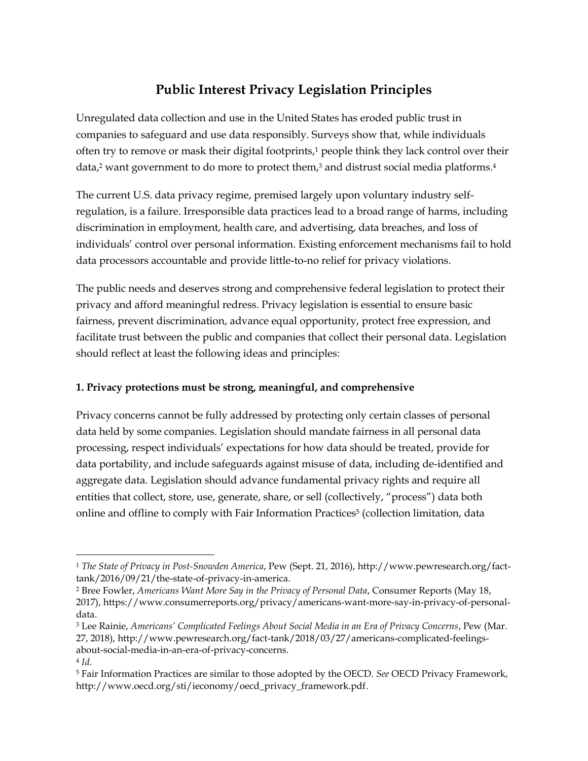# **Public Interest Privacy Legislation Principles**

Unregulated data collection and use in the United States has eroded public trust in companies to safeguard and use data responsibly. Surveys show that, while individuals often try to remove or mask their digital footprints, $1$  people think they lack control over their data,<sup>2</sup> want government to do more to protect them, <sup>3</sup> and distrust social media platforms. 4

The current U.S. data privacy regime, premised largely upon voluntary industry selfregulation, is a failure. Irresponsible data practices lead to a broad range of harms, including discrimination in employment, health care, and advertising, data breaches, and loss of individuals' control over personal information. Existing enforcement mechanisms fail to hold data processors accountable and provide little-to-no relief for privacy violations.

The public needs and deserves strong and comprehensive federal legislation to protect their privacy and afford meaningful redress. Privacy legislation is essential to ensure basic fairness, prevent discrimination, advance equal opportunity, protect free expression, and facilitate trust between the public and companies that collect their personal data. Legislation should reflect at least the following ideas and principles:

### **1. Privacy protections must be strong, meaningful, and comprehensive**

 $\overline{a}$ 

Privacy concerns cannot be fully addressed by protecting only certain classes of personal data held by some companies. Legislation should mandate fairness in all personal data processing, respect individuals' expectations for how data should be treated, provide for data portability, and include safeguards against misuse of data, including de-identified and aggregate data. Legislation should advance fundamental privacy rights and require all entities that collect, store, use, generate, share, or sell (collectively, "process") data both online and offline to comply with Fair Information Practices<sup>5</sup> (collection limitation, data

<sup>1</sup> *The State of Privacy in Post-Snowden America*, Pew (Sept. 21, 2016), http://www.pewresearch.org/facttank/2016/09/21/the-state-of-privacy-in-america.

<sup>2</sup> Bree Fowler, *Americans Want More Say in the Privacy of Personal Data*, Consumer Reports (May 18, 2017), https://www.consumerreports.org/privacy/americans-want-more-say-in-privacy-of-personaldata.

<sup>3</sup> Lee Rainie, *Americans' Complicated Feelings About Social Media in an Era of Privacy Concerns*, Pew (Mar. 27, 2018), http://www.pewresearch.org/fact-tank/2018/03/27/americans-complicated-feelingsabout-social-media-in-an-era-of-privacy-concerns.

<sup>4</sup> *Id.* <sup>5</sup> Fair Information Practices are similar to those adopted by the OECD. *See* OECD Privacy Framework, http://www.oecd.org/sti/ieconomy/oecd\_privacy\_framework.pdf.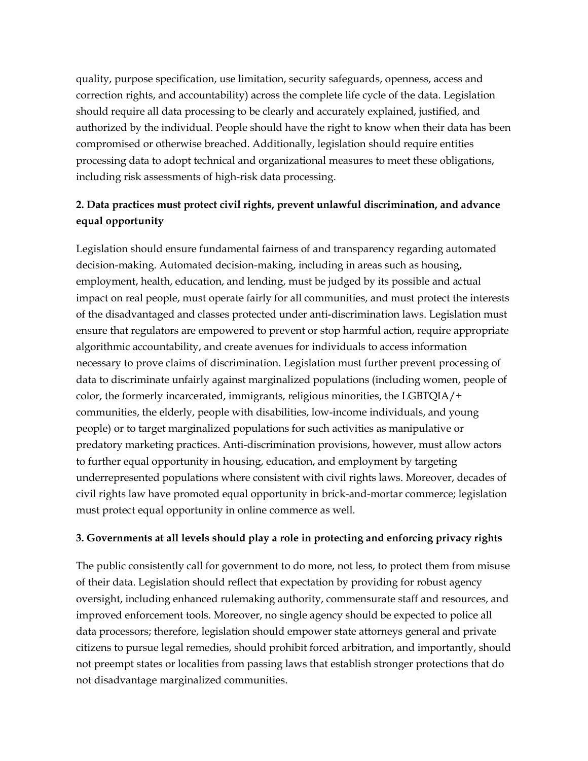quality, purpose specification, use limitation, security safeguards, openness, access and correction rights, and accountability) across the complete life cycle of the data. Legislation should require all data processing to be clearly and accurately explained, justified, and authorized by the individual. People should have the right to know when their data has been compromised or otherwise breached. Additionally, legislation should require entities processing data to adopt technical and organizational measures to meet these obligations, including risk assessments of high-risk data processing.

## **2. Data practices must protect civil rights, prevent unlawful discrimination, and advance equal opportunity**

Legislation should ensure fundamental fairness of and transparency regarding automated decision-making. Automated decision-making, including in areas such as housing, employment, health, education, and lending, must be judged by its possible and actual impact on real people, must operate fairly for all communities, and must protect the interests of the disadvantaged and classes protected under anti-discrimination laws. Legislation must ensure that regulators are empowered to prevent or stop harmful action, require appropriate algorithmic accountability, and create avenues for individuals to access information necessary to prove claims of discrimination. Legislation must further prevent processing of data to discriminate unfairly against marginalized populations (including women, people of color, the formerly incarcerated, immigrants, religious minorities, the LGBTQIA/+ communities, the elderly, people with disabilities, low-income individuals, and young people) or to target marginalized populations for such activities as manipulative or predatory marketing practices. Anti-discrimination provisions, however, must allow actors to further equal opportunity in housing, education, and employment by targeting underrepresented populations where consistent with civil rights laws. Moreover, decades of civil rights law have promoted equal opportunity in brick-and-mortar commerce; legislation must protect equal opportunity in online commerce as well.

### **3. Governments at all levels should play a role in protecting and enforcing privacy rights**

The public consistently call for government to do more, not less, to protect them from misuse of their data. Legislation should reflect that expectation by providing for robust agency oversight, including enhanced rulemaking authority, commensurate staff and resources, and improved enforcement tools. Moreover, no single agency should be expected to police all data processors; therefore, legislation should empower state attorneys general and private citizens to pursue legal remedies, should prohibit forced arbitration, and importantly, should not preempt states or localities from passing laws that establish stronger protections that do not disadvantage marginalized communities.